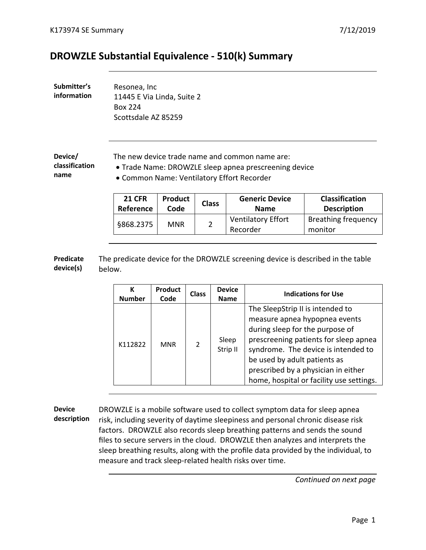## **DROWZLE Substantial Equivalence - 510(k) Summary**

| Submitter's | Resonea, Inc               |
|-------------|----------------------------|
| information | 11445 E Via Linda, Suite 2 |
|             | <b>Box 224</b>             |
|             | Scottsdale AZ 85259        |

**Device/ classification name**

The new device trade name and common name are:

• Trade Name: DROWZLE sleep apnea prescreening device

• Common Name: Ventilatory Effort Recorder

| <b>21 CFR</b> | <b>Product</b> | <b>Class</b> | <b>Generic Device</b>                 | <b>Classification</b>                 |
|---------------|----------------|--------------|---------------------------------------|---------------------------------------|
| Reference     | Code           |              | <b>Name</b>                           | <b>Description</b>                    |
| §868.2375     | <b>MNR</b>     |              | <b>Ventilatory Effort</b><br>Recorder | <b>Breathing frequency</b><br>monitor |

**Predicate device(s)** The predicate device for the DROWZLE screening device is described in the table below.

| К<br><b>Number</b> | Product<br>Code | <b>Class</b> | <b>Device</b><br><b>Name</b> | <b>Indications for Use</b>                                                                                                                                                                                                                                                                              |
|--------------------|-----------------|--------------|------------------------------|---------------------------------------------------------------------------------------------------------------------------------------------------------------------------------------------------------------------------------------------------------------------------------------------------------|
| K112822            | <b>MNR</b>      |              | Sleep<br>Strip II            | The SleepStrip II is intended to<br>measure apnea hypopnea events<br>during sleep for the purpose of<br>prescreening patients for sleep apnea<br>syndrome. The device is intended to<br>be used by adult patients as<br>prescribed by a physician in either<br>home, hospital or facility use settings. |

**Device description**  DROWZLE is a mobile software used to collect symptom data for sleep apnea risk, including severity of daytime sleepiness and personal chronic disease risk factors. DROWZLE also records sleep breathing patterns and sends the sound files to secure servers in the cloud. DROWZLE then analyzes and interprets the sleep breathing results, along with the profile data provided by the individual, to measure and track sleep-related health risks over time.

*Continued on next page*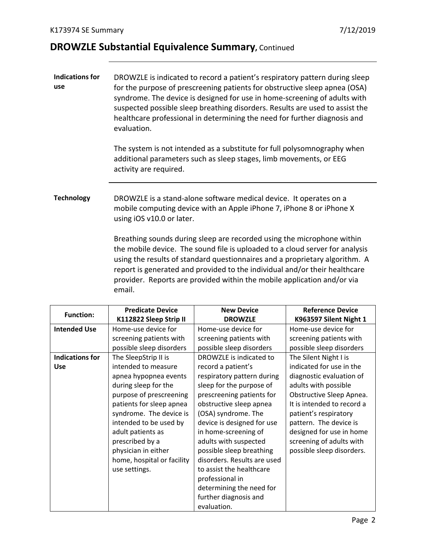## **DROWZLE Substantial Equivalence Summary,** Continued

| <b>Indications for</b><br>use | DROWZLE is indicated to record a patient's respiratory pattern during sleep<br>for the purpose of prescreening patients for obstructive sleep apnea (OSA)<br>syndrome. The device is designed for use in home-screening of adults with<br>suspected possible sleep breathing disorders. Results are used to assist the<br>healthcare professional in determining the need for further diagnosis and<br>evaluation. |                                                                                                                                                                                                                                                                                                                                                                                                |                          |
|-------------------------------|--------------------------------------------------------------------------------------------------------------------------------------------------------------------------------------------------------------------------------------------------------------------------------------------------------------------------------------------------------------------------------------------------------------------|------------------------------------------------------------------------------------------------------------------------------------------------------------------------------------------------------------------------------------------------------------------------------------------------------------------------------------------------------------------------------------------------|--------------------------|
|                               | The system is not intended as a substitute for full polysomnography when<br>additional parameters such as sleep stages, limb movements, or EEG<br>activity are required.                                                                                                                                                                                                                                           |                                                                                                                                                                                                                                                                                                                                                                                                |                          |
| <b>Technology</b>             | DROWZLE is a stand-alone software medical device. It operates on a<br>mobile computing device with an Apple iPhone 7, iPhone 8 or iPhone X<br>using iOS v10.0 or later.                                                                                                                                                                                                                                            |                                                                                                                                                                                                                                                                                                                                                                                                |                          |
|                               | email.                                                                                                                                                                                                                                                                                                                                                                                                             | Breathing sounds during sleep are recorded using the microphone within<br>the mobile device. The sound file is uploaded to a cloud server for analysis<br>using the results of standard questionnaires and a proprietary algorithm. A<br>report is generated and provided to the individual and/or their healthcare<br>provider. Reports are provided within the mobile application and/or via |                          |
| <b>Function:</b>              | <b>Predicate Device</b>                                                                                                                                                                                                                                                                                                                                                                                            | <b>New Device</b>                                                                                                                                                                                                                                                                                                                                                                              | <b>Reference Device</b>  |
|                               | K112822 Sleep Strip II                                                                                                                                                                                                                                                                                                                                                                                             | <b>DROWZLE</b>                                                                                                                                                                                                                                                                                                                                                                                 | K963597 Silent Night 1   |
| <b>Intended Use</b>           | Home-use device for                                                                                                                                                                                                                                                                                                                                                                                                | Home-use device for                                                                                                                                                                                                                                                                                                                                                                            | Home-use device for      |
|                               | screening patients with                                                                                                                                                                                                                                                                                                                                                                                            | screening patients with                                                                                                                                                                                                                                                                                                                                                                        | screening patients with  |
|                               | possible sleep disorders                                                                                                                                                                                                                                                                                                                                                                                           | possible sleep disorders                                                                                                                                                                                                                                                                                                                                                                       | possible sleep disorders |

|                        | י ישוויכ שטכ טכיונכ יש     |                             |                            |
|------------------------|----------------------------|-----------------------------|----------------------------|
|                        | screening patients with    | screening patients with     | screening patients with    |
|                        | possible sleep disorders   | possible sleep disorders    | possible sleep disorders   |
| <b>Indications for</b> | The SleepStrip II is       | DROWZLE is indicated to     | The Silent Night I is      |
| <b>Use</b>             | intended to measure        | record a patient's          | indicated for use in the   |
|                        | apnea hypopnea events      | respiratory pattern during  | diagnostic evaluation of   |
|                        | during sleep for the       | sleep for the purpose of    | adults with possible       |
|                        | purpose of prescreening    | prescreening patients for   | Obstructive Sleep Apnea.   |
|                        | patients for sleep apnea   | obstructive sleep apnea     | It is intended to record a |
|                        | syndrome. The device is    | (OSA) syndrome. The         | patient's respiratory      |
|                        | intended to be used by     | device is designed for use  | pattern. The device is     |
|                        | adult patients as          | in home-screening of        | designed for use in home   |
|                        | prescribed by a            | adults with suspected       | screening of adults with   |
|                        | physician in either        | possible sleep breathing    | possible sleep disorders.  |
|                        | home, hospital or facility | disorders. Results are used |                            |
|                        | use settings.              | to assist the healthcare    |                            |
|                        |                            | professional in             |                            |
|                        |                            | determining the need for    |                            |
|                        |                            | further diagnosis and       |                            |
|                        |                            | evaluation.                 |                            |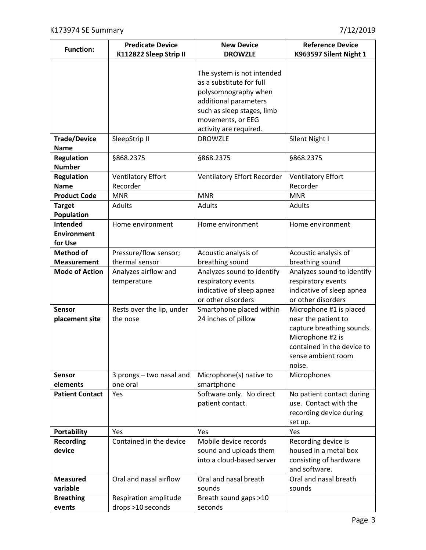| <b>Function:</b>                   | <b>Predicate Device</b>               | <b>New Device</b>                                                                                                                                                                                      | <b>Reference Device</b>                                                                                                                                       |
|------------------------------------|---------------------------------------|--------------------------------------------------------------------------------------------------------------------------------------------------------------------------------------------------------|---------------------------------------------------------------------------------------------------------------------------------------------------------------|
|                                    | K112822 Sleep Strip II                | <b>DROWZLE</b>                                                                                                                                                                                         | K963597 Silent Night 1                                                                                                                                        |
| <b>Trade/Device</b>                | SleepStrip II                         | The system is not intended<br>as a substitute for full<br>polysomnography when<br>additional parameters<br>such as sleep stages, limb<br>movements, or EEG<br>activity are required.<br><b>DROWZLE</b> | Silent Night I                                                                                                                                                |
| <b>Name</b>                        |                                       |                                                                                                                                                                                                        |                                                                                                                                                               |
| <b>Regulation</b><br><b>Number</b> | §868.2375                             | §868.2375                                                                                                                                                                                              | §868.2375                                                                                                                                                     |
| <b>Regulation</b>                  | <b>Ventilatory Effort</b>             | Ventilatory Effort Recorder                                                                                                                                                                            | <b>Ventilatory Effort</b>                                                                                                                                     |
| <b>Name</b>                        | Recorder                              |                                                                                                                                                                                                        | Recorder                                                                                                                                                      |
| <b>Product Code</b>                | <b>MNR</b>                            | <b>MNR</b>                                                                                                                                                                                             | <b>MNR</b>                                                                                                                                                    |
| <b>Target</b>                      | <b>Adults</b>                         | <b>Adults</b>                                                                                                                                                                                          | <b>Adults</b>                                                                                                                                                 |
| Population                         |                                       |                                                                                                                                                                                                        |                                                                                                                                                               |
| Intended                           | Home environment                      | Home environment                                                                                                                                                                                       | Home environment                                                                                                                                              |
| <b>Environment</b>                 |                                       |                                                                                                                                                                                                        |                                                                                                                                                               |
| for Use                            |                                       |                                                                                                                                                                                                        |                                                                                                                                                               |
| <b>Method of</b>                   | Pressure/flow sensor;                 | Acoustic analysis of                                                                                                                                                                                   | Acoustic analysis of                                                                                                                                          |
| <b>Measurement</b>                 | thermal sensor                        | breathing sound                                                                                                                                                                                        | breathing sound                                                                                                                                               |
| <b>Mode of Action</b>              | Analyzes airflow and                  | Analyzes sound to identify                                                                                                                                                                             | Analyzes sound to identify                                                                                                                                    |
|                                    | temperature                           | respiratory events<br>indicative of sleep apnea<br>or other disorders                                                                                                                                  | respiratory events<br>indicative of sleep apnea<br>or other disorders                                                                                         |
| <b>Sensor</b><br>placement site    | Rests over the lip, under<br>the nose | Smartphone placed within<br>24 inches of pillow                                                                                                                                                        | Microphone #1 is placed<br>near the patient to<br>capture breathing sounds.<br>Microphone #2 is<br>contained in the device to<br>sense ambient room<br>noise. |
| Sensor<br>elements                 | 3 prongs - two nasal and<br>one oral  | Microphone(s) native to<br>smartphone                                                                                                                                                                  | Microphones                                                                                                                                                   |
| <b>Patient Contact</b>             | Yes                                   | Software only. No direct<br>patient contact.                                                                                                                                                           | No patient contact during<br>use. Contact with the<br>recording device during<br>set up.                                                                      |
| <b>Portability</b>                 | Yes                                   | Yes                                                                                                                                                                                                    | Yes                                                                                                                                                           |
| <b>Recording</b><br>device         | Contained in the device               | Mobile device records<br>sound and uploads them<br>into a cloud-based server                                                                                                                           | Recording device is<br>housed in a metal box<br>consisting of hardware<br>and software.                                                                       |
| <b>Measured</b><br>variable        | Oral and nasal airflow                | Oral and nasal breath<br>sounds                                                                                                                                                                        | Oral and nasal breath<br>sounds                                                                                                                               |
| <b>Breathing</b>                   | Respiration amplitude                 | Breath sound gaps >10                                                                                                                                                                                  |                                                                                                                                                               |
| events                             | drops >10 seconds                     | seconds                                                                                                                                                                                                |                                                                                                                                                               |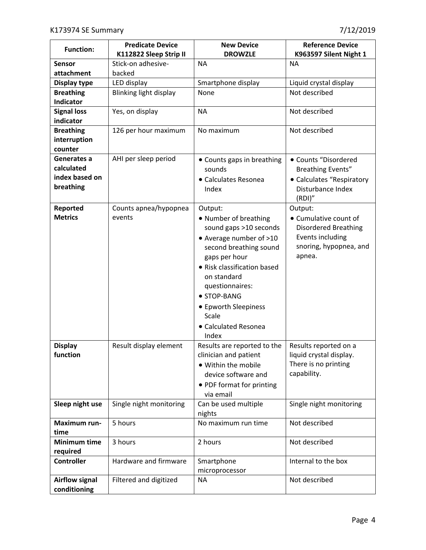| <b>Function:</b>              | <b>Predicate Device</b> | <b>New Device</b>             | <b>Reference Device</b>                 |
|-------------------------------|-------------------------|-------------------------------|-----------------------------------------|
|                               | K112822 Sleep Strip II  | <b>DROWZLE</b>                | K963597 Silent Night 1                  |
| Sensor                        | Stick-on adhesive-      | <b>NA</b>                     | <b>NA</b>                               |
| attachment                    | backed                  |                               |                                         |
| Display type                  | LED display             | Smartphone display            | Liquid crystal display<br>Not described |
| <b>Breathing</b><br>Indicator | Blinking light display  | None                          |                                         |
| <b>Signal loss</b>            | Yes, on display         | <b>NA</b>                     | Not described                           |
| indicator                     |                         |                               |                                         |
| <b>Breathing</b>              | 126 per hour maximum    | No maximum                    | Not described                           |
| interruption                  |                         |                               |                                         |
| counter                       |                         |                               |                                         |
| Generates a                   | AHI per sleep period    | • Counts gaps in breathing    | • Counts "Disordered                    |
| calculated                    |                         | sounds                        | <b>Breathing Events"</b>                |
| index based on                |                         | • Calculates Resonea          | • Calculates "Respiratory               |
| breathing                     |                         | Index                         | Disturbance Index                       |
|                               |                         |                               | (RDI)"                                  |
| Reported                      | Counts apnea/hypopnea   | Output:                       | Output:                                 |
| <b>Metrics</b>                | events                  | • Number of breathing         | • Cumulative count of                   |
|                               |                         | sound gaps >10 seconds        | <b>Disordered Breathing</b>             |
|                               |                         | • Average number of >10       | Events including                        |
|                               |                         | second breathing sound        | snoring, hypopnea, and                  |
|                               |                         | gaps per hour                 | apnea.                                  |
|                               |                         | • Risk classification based   |                                         |
|                               |                         | on standard                   |                                         |
|                               |                         | questionnaires:               |                                         |
|                               |                         | • STOP-BANG                   |                                         |
|                               |                         | • Epworth Sleepiness<br>Scale |                                         |
|                               |                         | • Calculated Resonea          |                                         |
|                               |                         | Index                         |                                         |
| <b>Display</b>                | Result display element  | Results are reported to the   | Results reported on a                   |
| function                      |                         | clinician and patient         | liquid crystal display.                 |
|                               |                         | · Within the mobile           | There is no printing                    |
|                               |                         | device software and           | capability.                             |
|                               |                         | • PDF format for printing     |                                         |
|                               |                         | via email                     |                                         |
| Sleep night use               | Single night monitoring | Can be used multiple          | Single night monitoring                 |
|                               |                         | nights                        |                                         |
| Maximum run-                  | 5 hours                 | No maximum run time           | Not described                           |
| time                          |                         |                               |                                         |
| <b>Minimum time</b>           | 3 hours                 | 2 hours                       | Not described                           |
| required                      |                         |                               |                                         |
| <b>Controller</b>             | Hardware and firmware   | Smartphone                    | Internal to the box                     |
| <b>Airflow signal</b>         | Filtered and digitized  | microprocessor<br><b>NA</b>   | Not described                           |
| conditioning                  |                         |                               |                                         |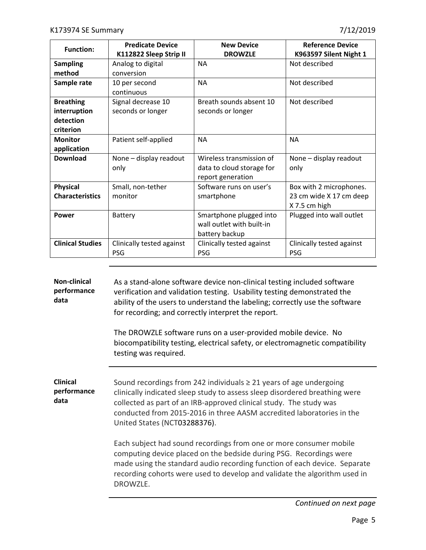| <b>Function:</b>                                           | <b>Predicate Device</b><br>K112822 Sleep Strip II | <b>New Device</b><br><b>DROWZLE</b>                                        | <b>Reference Device</b><br>K963597 Silent Night 1                   |
|------------------------------------------------------------|---------------------------------------------------|----------------------------------------------------------------------------|---------------------------------------------------------------------|
| <b>Sampling</b><br>method                                  | Analog to digital<br>conversion                   | <b>NA</b>                                                                  | Not described                                                       |
| Sample rate                                                | 10 per second<br>continuous                       | <b>NA</b>                                                                  | Not described                                                       |
| <b>Breathing</b><br>interruption<br>detection<br>criterion | Signal decrease 10<br>seconds or longer           | Breath sounds absent 10<br>seconds or longer                               | Not described                                                       |
| <b>Monitor</b><br>application                              | Patient self-applied                              | <b>NA</b>                                                                  | <b>NA</b>                                                           |
| <b>Download</b>                                            | None - display readout<br>only                    | Wireless transmission of<br>data to cloud storage for<br>report generation | None - display readout<br>only                                      |
| <b>Physical</b><br><b>Characteristics</b>                  | Small, non-tether<br>monitor                      | Software runs on user's<br>smartphone                                      | Box with 2 microphones.<br>23 cm wide X 17 cm deep<br>X 7.5 cm high |
| Power                                                      | <b>Battery</b>                                    | Smartphone plugged into<br>wall outlet with built-in<br>battery backup     | Plugged into wall outlet                                            |
| <b>Clinical Studies</b>                                    | Clinically tested against<br><b>PSG</b>           | Clinically tested against<br><b>PSG</b>                                    | Clinically tested against<br><b>PSG</b>                             |

**Non-clinical performance data** As a stand-alone software device non-clinical testing included software verification and validation testing. Usability testing demonstrated the ability of the users to understand the labeling; correctly use the software for recording; and correctly interpret the report.

> The DROWZLE software runs on a user-provided mobile device. No biocompatibility testing, electrical safety, or electromagnetic compatibility testing was required.

**Clinical performance data** Sound recordings from 242 individuals  $\geq 21$  years of age undergoing clinically indicated sleep study to assess sleep disordered breathing were collected as part of an IRB-approved clinical study. The study was conducted from 2015-2016 in three AASM accredited laboratories in the United States (NCT03288376).

> Each subject had sound recordings from one or more consumer mobile computing device placed on the bedside during PSG. Recordings were made using the standard audio recording function of each device. Separate recording cohorts were used to develop and validate the algorithm used in DROWZLE.